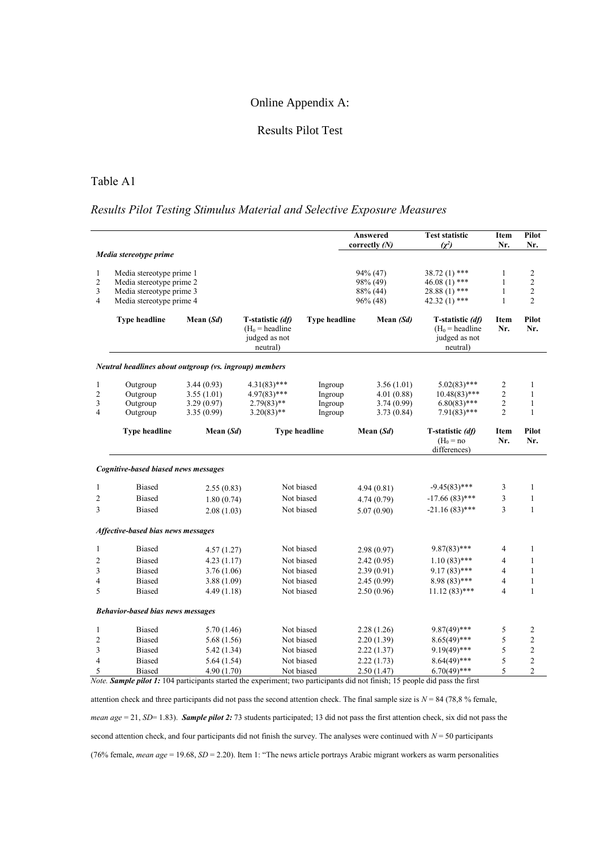## Online Appendix A:

# Results Pilot Test

## Table A1

# *Results Pilot Testing Stimulus Material and Selective Exposure Measures*

|                                                        |                                                                                                              |                                                      |                                                                    |                                          | Answered<br>correctly $(N)$                            | <b>Test statistic</b><br>$(\chi^2)$                                   | Item<br>Nr.                                       | Pilot<br>Nr.                                                     |  |  |  |  |  |
|--------------------------------------------------------|--------------------------------------------------------------------------------------------------------------|------------------------------------------------------|--------------------------------------------------------------------|------------------------------------------|--------------------------------------------------------|-----------------------------------------------------------------------|---------------------------------------------------|------------------------------------------------------------------|--|--|--|--|--|
|                                                        | Media stereotype prime                                                                                       |                                                      |                                                                    |                                          |                                                        |                                                                       |                                                   |                                                                  |  |  |  |  |  |
| $\mathbf{1}$<br>$\overline{c}$<br>3<br>4               | Media stereotype prime 1<br>Media stereotype prime 2<br>Media stereotype prime 3<br>Media stereotype prime 4 |                                                      |                                                                    |                                          | 94% (47)<br>98% (49)<br>88% (44)<br>96% (48)           | 38.72 (1) ***<br>46.08 $(1)$ ***<br>$28.88(1)$ ***<br>$42.32(1)$ ***  | 1<br>$\mathbf{1}$<br>$\mathbf{1}$<br>$\mathbf{1}$ | $\overline{c}$<br>$\sqrt{2}$<br>$\overline{2}$<br>$\overline{c}$ |  |  |  |  |  |
|                                                        | <b>Type headline</b>                                                                                         | Mean $(Sd)$                                          | T-statistic (df)<br>$(H_0 =$ headline<br>judged as not<br>neutral) | <b>Type headline</b>                     | Mean (Sd)                                              | T-statistic (df)<br>$(H_0 =$ headline<br>judged as not<br>neutral)    | Item<br>Nr.                                       | Pilot<br>Nr.                                                     |  |  |  |  |  |
| Neutral headlines about outgroup (vs. ingroup) members |                                                                                                              |                                                      |                                                                    |                                          |                                                        |                                                                       |                                                   |                                                                  |  |  |  |  |  |
| $\mathbf{1}$<br>$\overline{c}$<br>3<br>$\overline{4}$  | Outgroup<br>Outgroup<br>Outgroup<br>Outgroup                                                                 | 3.44(0.93)<br>3.55(1.01)<br>3.29(0.97)<br>3.35(0.99) | $4.31(83)$ ***<br>$4.97(83)$ ***<br>$2.79(83)$ **<br>$3.20(83)$ ** | Ingroup<br>Ingroup<br>Ingroup<br>Ingroup | 3.56(1.01)<br>4.01 (0.88)<br>3.74 (0.99)<br>3.73(0.84) | $5.02(83)$ ***<br>$10.48(83)$ ***<br>$6.80(83)$ ***<br>$7.91(83)$ *** | 2<br>$\sqrt{2}$<br>$\mathbf{2}$<br>$\overline{2}$ | 1<br>1<br>$\mathbf{1}$<br>1                                      |  |  |  |  |  |
|                                                        | <b>Type headline</b>                                                                                         | Mean $(Sd)$                                          |                                                                    | <b>Type headline</b>                     | Mean $(Sd)$                                            | T-statistic (df)<br>$(H0 = no$<br>differences)                        | Item<br>Nr.                                       | Pilot<br>Nr.                                                     |  |  |  |  |  |
|                                                        | Cognitive-based biased news messages                                                                         |                                                      |                                                                    |                                          |                                                        |                                                                       |                                                   |                                                                  |  |  |  |  |  |
| 1                                                      | <b>Biased</b>                                                                                                | 2.55(0.83)                                           | Not biased                                                         |                                          | 4.94(0.81)                                             | $-9.45(83)$ ***                                                       | 3                                                 | $\mathbf{1}$                                                     |  |  |  |  |  |
| 2                                                      | <b>Biased</b>                                                                                                | 1.80(0.74)                                           | Not biased                                                         |                                          | 4.74(0.79)                                             | $-17.66(83)$ ***                                                      | 3                                                 | $\mathbf{1}$                                                     |  |  |  |  |  |
| 3                                                      | <b>Biased</b>                                                                                                | 2.08(1.03)                                           | Not biased                                                         |                                          | 5.07(0.90)                                             | $-21.16(83)$ ***                                                      | 3                                                 | $\mathbf{1}$                                                     |  |  |  |  |  |
| Affective-based bias news messages                     |                                                                                                              |                                                      |                                                                    |                                          |                                                        |                                                                       |                                                   |                                                                  |  |  |  |  |  |
| 1                                                      | <b>Biased</b>                                                                                                | 4.57(1.27)                                           |                                                                    | Not biased                               | 2.98(0.97)                                             | $9.87(83)$ ***                                                        | 4                                                 | 1                                                                |  |  |  |  |  |
| $\overline{c}$                                         | <b>Biased</b>                                                                                                | 4.23 (1.17)                                          | Not biased                                                         |                                          | 2.42(0.95)                                             | $1.10(83)$ ***                                                        | 4                                                 | $\mathbf{1}$                                                     |  |  |  |  |  |
| 3                                                      | <b>Biased</b>                                                                                                | 3.76(1.06)                                           | Not biased                                                         |                                          | 2.39(0.91)                                             | $9.17(83)$ ***                                                        | 4                                                 | 1                                                                |  |  |  |  |  |
| 4                                                      | <b>Biased</b>                                                                                                | 3.88(1.09)                                           | Not biased                                                         |                                          | 2.45(0.99)                                             | $8.98(83)$ ***                                                        | 4                                                 | $\mathbf{1}$                                                     |  |  |  |  |  |
| 5                                                      | <b>Biased</b>                                                                                                | 4.49 (1.18)                                          |                                                                    | Not biased                               | 2.50(0.96)                                             | $11.12(83)$ ***                                                       | 4                                                 | 1                                                                |  |  |  |  |  |
| <b>Behavior-based bias news messages</b>               |                                                                                                              |                                                      |                                                                    |                                          |                                                        |                                                                       |                                                   |                                                                  |  |  |  |  |  |
| 1                                                      | <b>Biased</b>                                                                                                | 5.70 (1.46)                                          |                                                                    | Not biased                               | 2.28(1.26)                                             | $9.87(49)$ ***                                                        | 5                                                 | $\overline{c}$                                                   |  |  |  |  |  |
| 2                                                      | <b>Biased</b>                                                                                                | 5.68 (1.56)                                          | Not biased                                                         |                                          | 2.20(1.39)                                             | $8.65(49)$ ***                                                        | 5                                                 | $\sqrt{2}$                                                       |  |  |  |  |  |
| 3                                                      | <b>Biased</b>                                                                                                | 5.42(1.34)                                           |                                                                    | Not biased                               | 2.22(1.37)                                             | $9.19(49)$ ***                                                        | 5                                                 | $\sqrt{2}$                                                       |  |  |  |  |  |
| 4                                                      | <b>Biased</b>                                                                                                | 5.64(1.54)                                           |                                                                    | Not biased                               | 2.22(1.73)                                             | $8.64(49)$ ***                                                        | 5                                                 | $\sqrt{2}$                                                       |  |  |  |  |  |
| 5                                                      | <b>Biased</b>                                                                                                | 4.90(1.70)                                           |                                                                    | Not biased                               | 2.50(1.47)                                             | $6.70(49)$ ***                                                        | 5                                                 | $\overline{c}$                                                   |  |  |  |  |  |

*Note. Sample pilot 1:* 104 participants started the experiment; two participants did not finish; 15 people did pass the first

attention check and three participants did not pass the second attention check. The final sample size is  $N = 84$  (78,8 % female, *mean age* = 21, *SD*= 1.83). *Sample pilot 2:* 73 students participated; 13 did not pass the first attention check, six did not pass the second attention check, and four participants did not finish the survey. The analyses were continued with *N* = 50 participants (76% female, *mean age* = 19.68, *SD* = 2.20). Item 1: "The news article portrays Arabic migrant workers as warm personalities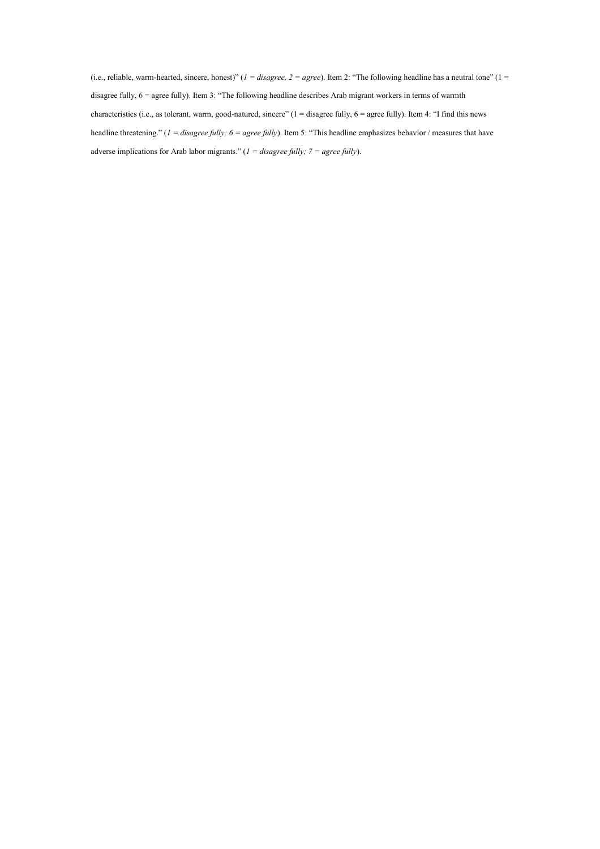(i.e., reliable, warm-hearted, sincere, honest)" (*1 = disagree, 2 = agree*). Item 2: "The following headline has a neutral tone" (1 = disagree fully, 6 = agree fully). Item 3: "The following headline describes Arab migrant workers in terms of warmth characteristics (i.e., as tolerant, warm, good-natured, sincere" (1 = disagree fully, 6 = agree fully). Item 4: "I find this news headline threatening." (*1 = disagree fully; 6 = agree fully*). Item 5: "This headline emphasizes behavior / measures that have adverse implications for Arab labor migrants." (*1 = disagree fully; 7 = agree fully*).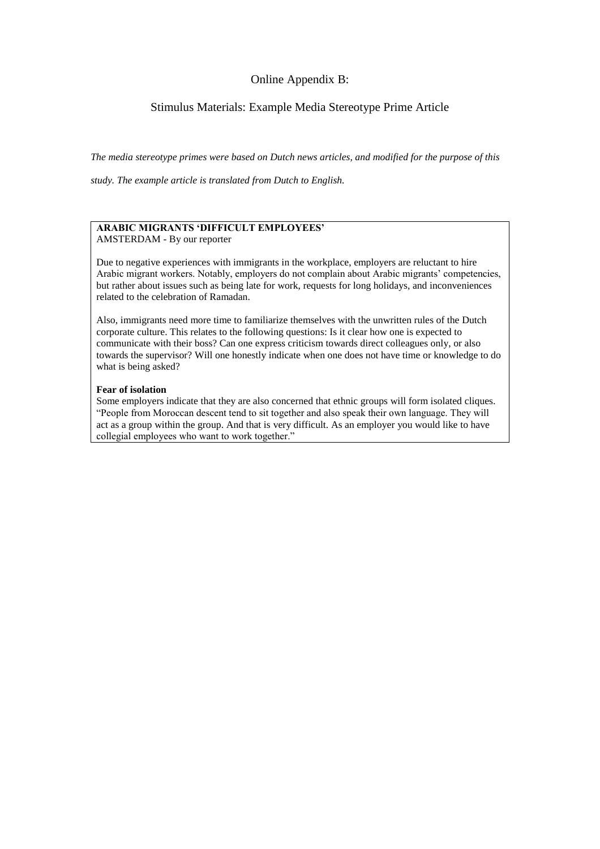# Online Appendix B:

# Stimulus Materials: Example Media Stereotype Prime Article

*The media stereotype primes were based on Dutch news articles, and modified for the purpose of this* 

*study. The example article is translated from Dutch to English.* 

#### **ARABIC MIGRANTS 'DIFFICULT EMPLOYEES'** AMSTERDAM - By our reporter

Due to negative experiences with immigrants in the workplace, employers are reluctant to hire Arabic migrant workers. Notably, employers do not complain about Arabic migrants' competencies, but rather about issues such as being late for work, requests for long holidays, and inconveniences related to the celebration of Ramadan.

Also, immigrants need more time to familiarize themselves with the unwritten rules of the Dutch corporate culture. This relates to the following questions: Is it clear how one is expected to communicate with their boss? Can one express criticism towards direct colleagues only, or also towards the supervisor? Will one honestly indicate when one does not have time or knowledge to do what is being asked?

#### **Fear of isolation**

Some employers indicate that they are also concerned that ethnic groups will form isolated cliques. "People from Moroccan descent tend to sit together and also speak their own language. They will act as a group within the group. And that is very difficult. As an employer you would like to have collegial employees who want to work together."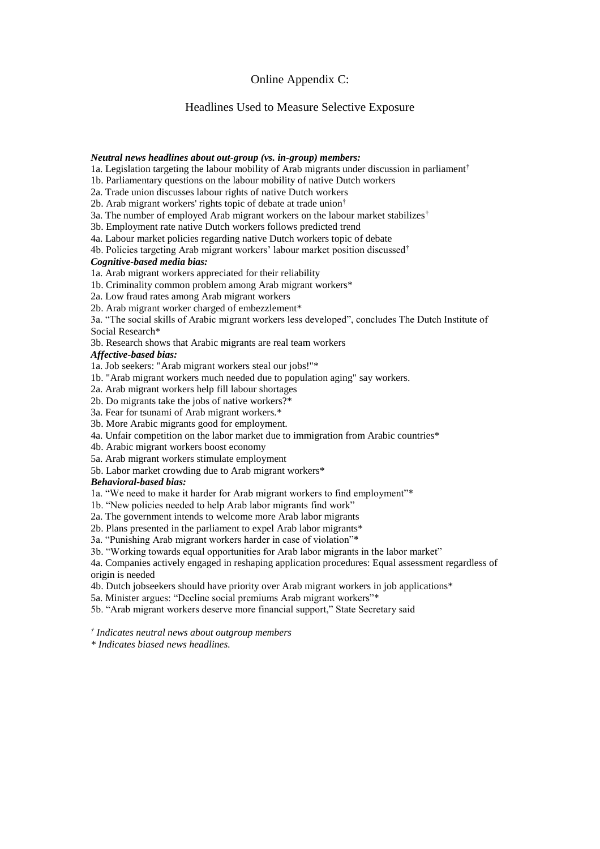## Online Appendix C:

## Headlines Used to Measure Selective Exposure

#### *Neutral news headlines about out-group (vs. in-group) members:*

- 1a. Legislation targeting the labour mobility of Arab migrants under discussion in parliament<sup>†</sup>
- 1b. Parliamentary questions on the labour mobility of native Dutch workers
- 2a. Trade union discusses labour rights of native Dutch workers
- 2b. Arab migrant workers' rights topic of debate at trade union†
- 3a. The number of employed Arab migrant workers on the labour market stabilizes<sup>†</sup>
- 3b. Employment rate native Dutch workers follows predicted trend
- 4a. Labour market policies regarding native Dutch workers topic of debate
- 4b. Policies targeting Arab migrant workers' labour market position discussed†

#### *Cognitive-based media bias:*

1a. Arab migrant workers appreciated for their reliability

- 1b. Criminality common problem among Arab migrant workers\*
- 2a. Low fraud rates among Arab migrant workers

2b. Arab migrant worker charged of embezzlement\*

3a. "The social skills of Arabic migrant workers less developed", concludes The Dutch Institute of Social Research\*

3b. Research shows that Arabic migrants are real team workers

#### *Affective-based bias:*

1a. Job seekers: "Arab migrant workers steal our jobs!"\*

- 1b. "Arab migrant workers much needed due to population aging" say workers.
- 2a. Arab migrant workers help fill labour shortages
- 2b. Do migrants take the jobs of native workers?\*
- 3a. Fear for tsunami of Arab migrant workers.\*
- 3b. More Arabic migrants good for employment.
- 4a. Unfair competition on the labor market due to immigration from Arabic countries\*
- 4b. Arabic migrant workers boost economy
- 5a. Arab migrant workers stimulate employment
- 5b. Labor market crowding due to Arab migrant workers\*

#### *Behavioral-based bias:*

- 1a. "We need to make it harder for Arab migrant workers to find employment"\*
- 1b. "New policies needed to help Arab labor migrants find work"
- 2a. The government intends to welcome more Arab labor migrants
- 2b. Plans presented in the parliament to expel Arab labor migrants\*
- 3a. "Punishing Arab migrant workers harder in case of violation"\*
- 3b. "Working towards equal opportunities for Arab labor migrants in the labor market"

4a. Companies actively engaged in reshaping application procedures: Equal assessment regardless of origin is needed

- 4b. Dutch jobseekers should have priority over Arab migrant workers in job applications\*
- 5a. Minister argues: "Decline social premiums Arab migrant workers"\*
- 5b. "Arab migrant workers deserve more financial support," State Secretary said

*† Indicates neutral news about outgroup members*

*\* Indicates biased news headlines.*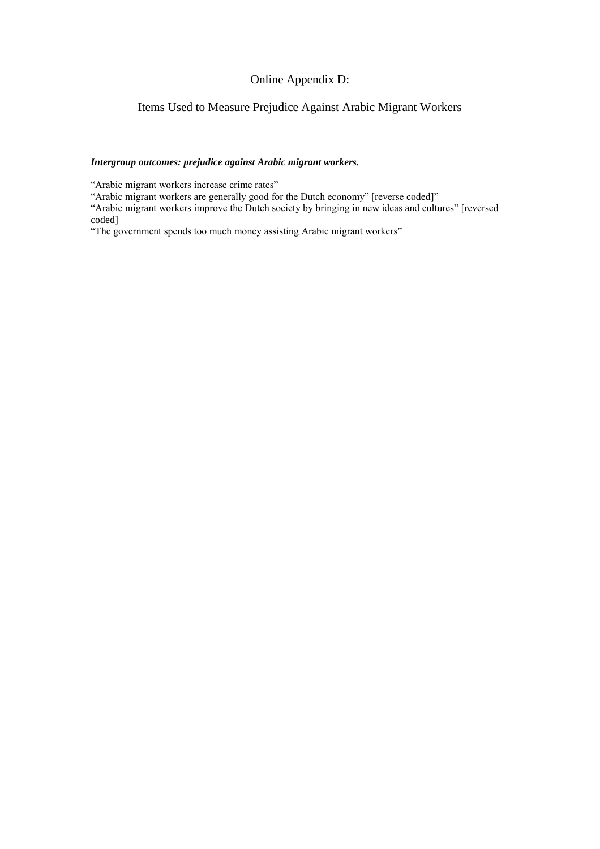# Online Appendix D:

# Items Used to Measure Prejudice Against Arabic Migrant Workers

## *Intergroup outcomes: prejudice against Arabic migrant workers.*

"Arabic migrant workers increase crime rates"

"Arabic migrant workers are generally good for the Dutch economy" [reverse coded]"

"Arabic migrant workers improve the Dutch society by bringing in new ideas and cultures" [reversed coded]

"The government spends too much money assisting Arabic migrant workers"